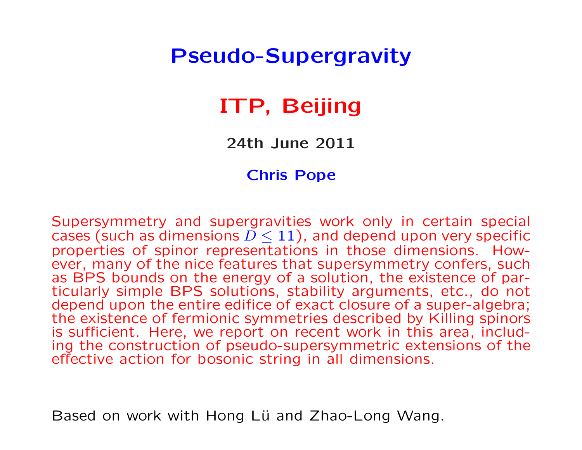## Pseudo-Supergravity

# ITP, Beijing

24th June 2011

#### Chris Pope

Supersymmetry and supergravities work only in certain special cases (such as dimensions  $D \le 11$ ), and depend upon very specific properties of spinor representations in those dimensions. However, many of the nice features that supersymmetry confers, such as BPS bounds on the energy of a solution, the existence of particularly simple BPS solutions, stability arguments, etc., do not depend upon the entire edifice of exact closure of a super-algebra; the existence of fermionic symmetries described by Killing spinors is sufficient. Here, we report on recent work in this area, including the construction of pseudo-supersymmetric extensions of the effective action for bosonic string in all dimensions.

Based on work with Hong Lü and Zhao-Long Wang.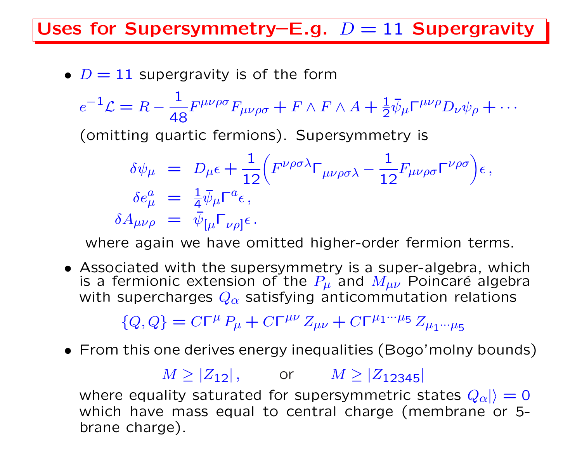Uses for Supersymmetry–E.g.  $D = 11$  Supergravity

•  $D = 11$  supergravity is of the form

$$
e^{-1}\mathcal{L} = R - \frac{1}{48}F^{\mu\nu\rho\sigma}F_{\mu\nu\rho\sigma} + F \wedge F \wedge A + \frac{1}{2}\bar{\psi}_{\mu}\Gamma^{\mu\nu\rho}D_{\nu}\psi_{\rho} + \cdots
$$

(omitting quartic fermions). Supersymmetry is

$$
\delta \psi_{\mu} = D_{\mu} \epsilon + \frac{1}{12} \Big( F^{\nu \rho \sigma \lambda} \Gamma_{\mu \nu \rho \sigma \lambda} - \frac{1}{12} F_{\mu \nu \rho \sigma} \Gamma^{\nu \rho \sigma} \Big) \epsilon \,,
$$
\n
$$
\delta e_{\mu}^{a} = \frac{1}{4} \bar{\psi}_{\mu} \Gamma^{a} \epsilon \,,
$$
\n
$$
\delta A_{\mu \nu \rho} = \bar{\psi}_{\left[\mu \right] \Gamma_{\nu \rho}\right] \epsilon \,.
$$

where again we have omitted higher-order fermion terms.

• Associated with the supersymmetry is a super-algebra, which is a fermionic extension of the  $P_\mu$  and  $M_{\mu\nu}$  Poincaré algebra with supercharges  $Q_{\alpha}$  satisfying anticommutation relations

 ${Q, Q} = C\Gamma^{\mu} P_{\mu} + C\Gamma^{\mu\nu} Z_{\mu\nu} + C\Gamma^{\mu_1 \cdots \mu_5} Z_{\mu_1 \cdots \mu_5}$ 

• From this one derives energy inequalities (Bogo'molny bounds)

$$
M \ge |Z_{12}|
$$
, or  $M \ge |Z_{12345}|$ 

where equality saturated for supersymmetric states  $|Q_{\alpha}|=0$ which have mass equal to central charge (membrane or 5 brane charge).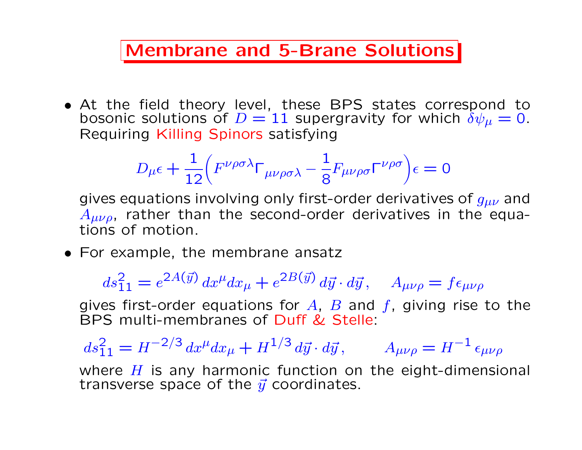#### Membrane and 5-Brane Solutions

• At the field theory level, these BPS states correspond to bosonic solutions of  $D = 11$  supergravity for which  $\delta \psi_{\mu} = 0$ . Requiring Killing Spinors satisfying

$$
D_{\mu}\epsilon+\frac{1}{12}\left(F^{\nu\rho\sigma\lambda}\Gamma_{\mu\nu\rho\sigma\lambda}-\frac{1}{8}F_{\mu\nu\rho\sigma}\Gamma^{\nu\rho\sigma}\right)\epsilon=0
$$

gives equations involving only first-order derivatives of  $g_{\mu\nu}$  and  $A_{\mu\nu\rho}$ , rather than the second-order derivatives in the equations of motion.

• For example, the membrane ansatz

 $ds_{11}^2 = e^{2A(\vec{y})} dx^{\mu} dx_{\mu} + e^{2B(\vec{y})} d\vec{y} \cdot d\vec{y}, \quad A_{\mu\nu\rho} = f \epsilon_{\mu\nu\rho}$ 

gives first-order equations for  $A$ ,  $B$  and  $f$ , giving rise to the BPS multi-membranes of Duff & Stelle:

 $ds_{11}^2 = H^{-2/3} dx^{\mu} dx_{\mu} + H^{1/3} d\vec{y} \cdot d\vec{y}, \qquad A_{\mu\nu\rho} = H^{-1} \epsilon_{\mu\nu\rho}$ 

where  $H$  is any harmonic function on the eight-dimensional transverse space of the  $\vec{y}$  coordinates.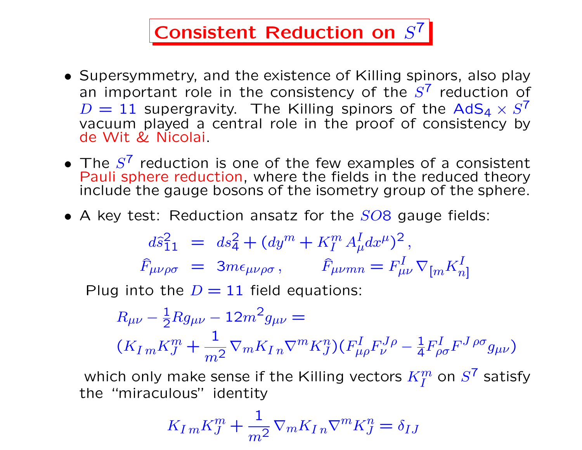# Consistent Reduction on  $S^7$

- Supersymmetry, and the existence of Killing spinors, also play an important role in the consistency of the  $S^7$  reduction of  $D = 11$  supergravity. The Killing spinors of the AdS<sub>4</sub>  $\times S^7$ vacuum played a central role in the proof of consistency by de Wit & Nicolai.
- The  $S^7$  reduction is one of the few examples of a consistent Pauli sphere reduction, where the fields in the reduced theory include the gauge bosons of the isometry group of the sphere.
- A key test: Reduction ansatz for the  $SO8$  gauge fields:

$$
d\hat{s}_{11}^{2} = ds_{4}^{2} + (dy^{m} + K_{I}^{m} A_{\mu}^{I} dx^{\mu})^{2},
$$
  

$$
\hat{F}_{\mu\nu\rho\sigma} = 3m\epsilon_{\mu\nu\rho\sigma}, \qquad \hat{F}_{\mu\nu mn} = F_{\mu\nu}^{I} \nabla_{[m} K_{n]}^{I}
$$

Plug into the  $D = 11$  field equations:

$$
R_{\mu\nu} - \frac{1}{2} R g_{\mu\nu} - 12m^2 g_{\mu\nu} =
$$
  

$$
(K_{Im} K_J^m + \frac{1}{m^2} \nabla_m K_{In} \nabla^m K_J^n) (F_{\mu\rho}^I F_{\nu}^J{}^{\rho} - \frac{1}{4} F_{\rho\sigma}^I F^J{}^{\rho\sigma} g_{\mu\nu})
$$

which only make sense if the Killing vectors  $K_I^m$  on  $S^7$  satisfy the "miraculous" identity

$$
K_{Im}K_{J}^{m} + \frac{1}{m^{2}} \nabla_{m}K_{I n} \nabla^{m}K_{J}^{n} = \delta_{IJ}
$$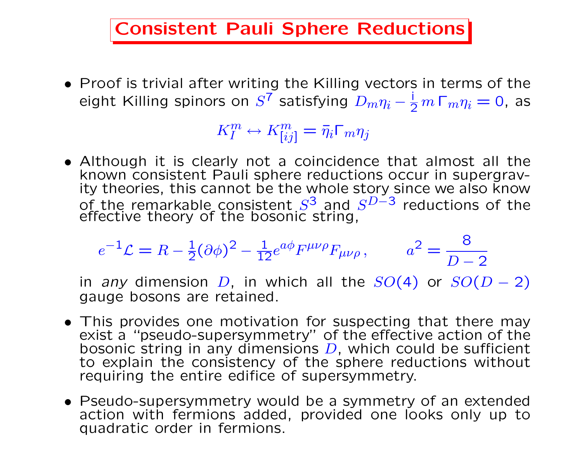Consistent Pauli Sphere Reductions

• Proof is trivial after writing the Killing vectors in terms of the eight Killing spinors on  $S^7$  satisfying  $\overline{D_m \eta_i} - \frac{i}{2} m \Gamma_m \eta_i = 0$ , as

 $K_I^m \leftrightarrow K_{[ij]}^m = \bar{\eta}_i \Gamma_m \eta_j$ 

• Although it is clearly not a coincidence that almost all the known consistent Pauli sphere reductions occur in supergravity theories, this cannot be the whole story since we also know of the remarkable consistent  $S^3$  and  $S^{D-3}$  reductions of the effective theory of the bosonic string,

$$
e^{-1}\mathcal{L} = R - \frac{1}{2}(\partial\phi)^2 - \frac{1}{12}e^{a\phi}F^{\mu\nu\rho}F_{\mu\nu\rho}, \qquad a^2 = \frac{8}{D-2}
$$

in any dimension D, in which all the  $SO(4)$  or  $SO(D-2)$ gauge bosons are retained.

- This provides one motivation for suspecting that there may exist a "pseudo-supersymmetry" of the effective action of the bosonic string in any dimensions  $D$ , which could be sufficient to explain the consistency of the sphere reductions without requiring the entire edifice of supersymmetry.
- Pseudo-supersymmetry would be a symmetry of an extended action with fermions added, provided one looks only up to quadratic order in fermions.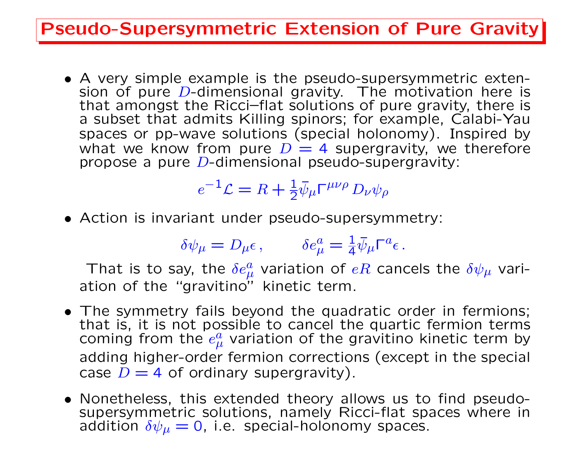#### Pseudo-Supersymmetric Extension of Pure Gravity

• A very simple example is the pseudo-supersymmetric extension of pure  $D$ -dimensional gravity. The motivation here is that amongst the Ricci–flat solutions of pure gravity, there is a subset that admits Killing spinors; for example, Calabi-Yau spaces or pp-wave solutions (special holonomy). Inspired by what we know from pure  $D = 4$  supergravity, we therefore propose a pure  $D$ -dimensional pseudo-supergravity:

# $e^{-1}\mathcal{L} = R + \frac{1}{2}\bar{\psi}_{\mu}\Gamma^{\mu\nu\rho}D_{\nu}\psi_{\rho}$

• Action is invariant under pseudo-supersymmetry:

$$
\delta \psi_\mu = D_\mu \epsilon \,, \qquad \delta e^a_\mu = \frac{1}{4} \bar{\psi}_\mu \Gamma^a \epsilon \,.
$$

That is to say, the  $\delta e^a_\mu$  variation of  $eR$  cancels the  $\delta \psi_\mu$  variation of the "gravitino" kinetic term.

- The symmetry fails beyond the quadratic order in fermions; that is, it is not possible to cancel the quartic fermion terms coming from the  $e^a_\mu$  variation of the gravitino kinetic term by adding higher-order fermion corrections (except in the special case  $D = 4$  of ordinary supergravity).
- Nonetheless, this extended theory allows us to find pseudosupersymmetric solutions, namely Ricci-flat spaces where in addition  $\delta\psi_{\mu}=0$ , i.e. special-holonomy spaces.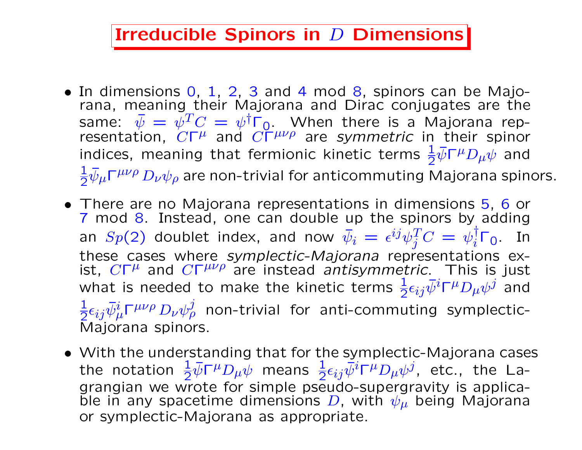#### Irreducible Spinors in  $D$  Dimensions

- In dimensions 0, 1, 2, 3 and 4 mod 8, spinors can be Majorana, meaning their Majorana and Dirac conjugates are the same:  $\bar{\psi} = \psi^T C = \psi^\dagger \Gamma_0$ . When there is a Majorana representation,  $C\Gamma^{\mu}$  and  $C\Gamma^{\mu\nu\rho}$  are symmetric in their spinor indices, meaning that fermionic kinetic terms  $\frac{1}{2}\bar{\psi}\Gamma^{\mu}D_{\mu}\psi$  and 1  $\frac{1}{2}\bar{\psi}_\mu\Gamma^{\mu\nu\rho}\,D_\nu\psi_\rho$  are non-trivial for anticommuting Majorana spinors.
- There are no Majorana representations in dimensions 5, 6 or 7 mod 8. Instead, one can double up the spinors by adding an  $Sp(2)$  doublet index, and now  $\bar{\psi}_i = \epsilon^{ij} \psi_j^T C = \psi_i^\dagger \Gamma_0$ . In these cases where symplectic-Majorana representations exist,  $C\Gamma^{\mu}$  and  $C\Gamma^{\mu\nu\rho}$  are instead antisymmetric. This is just what is needed to make the kinetic terms  $\frac{1}{2} \epsilon_{ij} \bar{\psi}^i \Gamma^\mu D_\mu \psi^j$  and 1  $\frac{1}{2}\epsilon_{ij}\bar{\psi}^i_{\mu}\Gamma^{\mu\nu\rho}\,D_{\nu}\psi^j_{\rho}$  non-trivial for anti-commuting symplectic-Majorana spinors.
- With the understanding that for the symplectic-Majorana cases the notation  $\frac{1}{2}\bar{\psi}\Gamma^{\mu}D_{\mu}\bar{\psi}$  means  $\frac{1}{2}\epsilon_{ij}\bar{\psi}^{i}\Gamma^{\mu}D_{\mu}\psi^{j}$ , etc., the Lagrangian we wrote for simple pseudo-supergravity is applicable in any spacetime dimensions D, with  $\psi_{\mu}$  being Majorana or symplectic-Majorana as appropriate.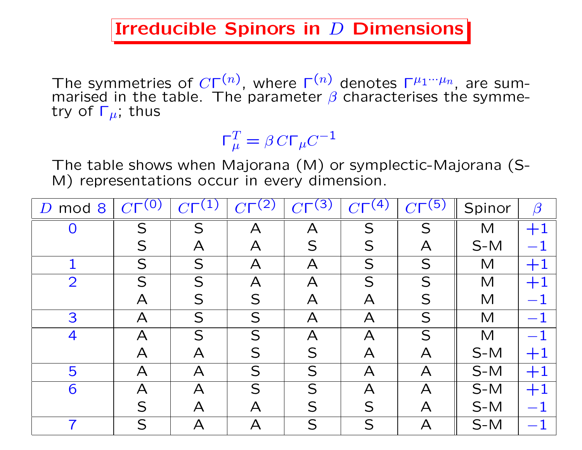#### Irreducible Spinors in  $D$  Dimensions

The symmetries of  $C\Gamma^{(n)}$ , where  $\Gamma^{(n)}$  denotes  $\Gamma^{\mu_1\cdots\mu_n}$ , are summarised in the table. The parameter  $\beta$  characterises the symmetry of  $\Gamma_{\mu}$ , thus

> $\mathsf{\Gamma}_n^T$  $T_\mu^T = \beta \, C \Gamma_\mu C^{-1}$

The table shows when Majorana (M) or symplectic-Majorana (S-M) representations occur in every dimension.

| mod 8<br>D     | $\left( 0\right)$<br>CT   | $\boldsymbol{\gamma}$     | (2)                     | (3)<br>$\gamma$              | (4)                       | (5)                       | Spinor | $\beta$   |
|----------------|---------------------------|---------------------------|-------------------------|------------------------------|---------------------------|---------------------------|--------|-----------|
|                | S                         | S                         | А                       | $\boldsymbol{\mathsf{A}}$    | S                         | S                         | M      | $+1$      |
|                | S                         | $\boldsymbol{\mathsf{A}}$ | A                       | S                            | S                         | $\bm{\mathsf{A}}$         | $S-M$  |           |
| 1              | S                         | S                         | $\mathsf{A}$            | $\boldsymbol{\mathsf{A}}$    | S                         | S                         | M      | $+1$      |
| $\overline{2}$ | S                         | S                         | $\overline{\mathsf{A}}$ | $\overline{\bm{\mathsf{A}}}$ | S                         | S                         | M      | $+$       |
|                | $\bm{\mathsf{A}}$         | S                         | S                       | $\bm{\mathsf{A}}$            | А                         | S                         | M      |           |
| 3              | $\boldsymbol{\mathsf{A}}$ | S                         | S                       | $\boldsymbol{\mathsf{A}}$    | $\boldsymbol{\mathsf{A}}$ | S                         | M      |           |
| 4              | $\bigwedge$               | S                         | S                       | $\overline{\mathsf{A}}$      | $\overline{\mathsf{A}}$   | S                         | M      |           |
|                | $\bm{\mathsf{A}}$         | A                         | S                       | S                            | $\boldsymbol{\mathsf{A}}$ | $\boldsymbol{\mathsf{A}}$ | $S-M$  |           |
| 5              | $\overline{\mathsf{A}}$   | $\boldsymbol{\mathsf{A}}$ | S                       | S                            | $\overline{\mathsf{A}}$   | $\mathsf{A}$              | $S-M$  | $\rm{+1}$ |
| 6              | $\bm{\mathsf{A}}$         | $\bigwedge$               | S                       | S                            | $\overline{\mathsf{A}}$   | $\overline{\mathsf{A}}$   | $S-M$  | $+1$      |
|                | S                         | A                         | А                       | S                            | S                         | $\bm{\mathsf{A}}$         | $S-M$  |           |
| 7              | S                         | $\bm{\mathsf{A}}$         | А                       | S                            | S                         | $\boldsymbol{\mathsf{A}}$ | $S-M$  |           |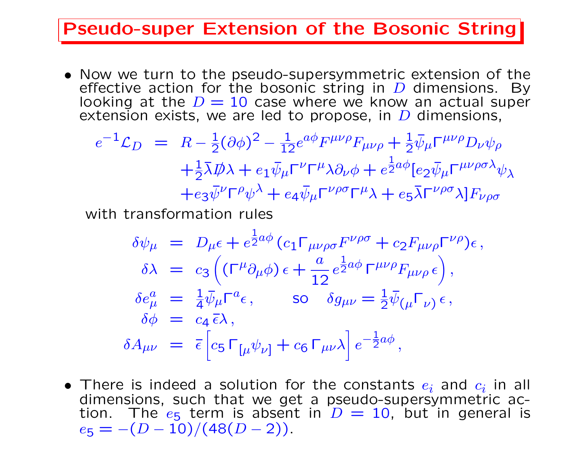#### Pseudo-super Extension of the Bosonic String

• Now we turn to the pseudo-supersymmetric extension of the effective action for the bosonic string in  $D$  dimensions. By looking at the  $D = 10$  case where we know an actual super extension exists, we are led to propose, in  $D$  dimensions,

$$
e^{-1}\mathcal{L}_D = R - \frac{1}{2}(\partial\phi)^2 - \frac{1}{12}e^{a\phi}F^{\mu\nu\rho}F_{\mu\nu\rho} + \frac{1}{2}\bar{\psi}_{\mu}\Gamma^{\mu\nu\rho}D_{\nu}\psi_{\rho}
$$

$$
+ \frac{1}{2}\bar{\lambda}\mathcal{D}\lambda + e_1\bar{\psi}_{\mu}\Gamma^{\nu}\Gamma^{\mu}\lambda\partial_{\nu}\phi + e^{\frac{1}{2}a\phi}[e_2\bar{\psi}_{\mu}\Gamma^{\mu\nu\rho\sigma}\lambda_{\psi}\lambda + e_3\bar{\psi}^{\nu}\Gamma^{\rho}\psi^{\lambda} + e_4\bar{\psi}_{\mu}\Gamma^{\nu\rho\sigma}\Gamma^{\mu}\lambda + e_5\bar{\lambda}\Gamma^{\nu\rho\sigma}\lambda]F_{\nu\rho\sigma}
$$

with transformation rules

$$
\delta\psi_{\mu} = D_{\mu}\epsilon + e^{\frac{1}{2}a\phi} (c_1 \Gamma_{\mu\nu\rho\sigma} F^{\nu\rho\sigma} + c_2 F_{\mu\nu\rho} \Gamma^{\nu\rho}) \epsilon ,
$$
  
\n
$$
\delta\lambda = c_3 \left( (\Gamma^{\mu}\partial_{\mu}\phi) \epsilon + \frac{a}{12} e^{\frac{1}{2}a\phi} \Gamma^{\mu\nu\rho} F_{\mu\nu\rho} \epsilon \right),
$$
  
\n
$$
\delta e_{\mu}^{a} = \frac{1}{4} \bar{\psi}_{\mu} \Gamma^{a} \epsilon, \qquad \text{so} \quad \delta g_{\mu\nu} = \frac{1}{2} \bar{\psi}_{(\mu} \Gamma_{\nu)} \epsilon ,
$$
  
\n
$$
\delta\phi = c_4 \bar{\epsilon}\lambda ,
$$
  
\n
$$
\delta A_{\mu\nu} = \bar{\epsilon} \left[ c_5 \Gamma_{[\mu} \psi_{\nu]} + c_6 \Gamma_{\mu\nu} \lambda \right] e^{-\frac{1}{2}a\phi},
$$

• There is indeed a solution for the constants  $e_i$  and  $c_i$  in all dimensions, such that we get a pseudo-supersymmetric action. The  $e_5$  term is absent in  $D = 10$ , but in general is  $e_5 = -(D-10)/(48(D-2)).$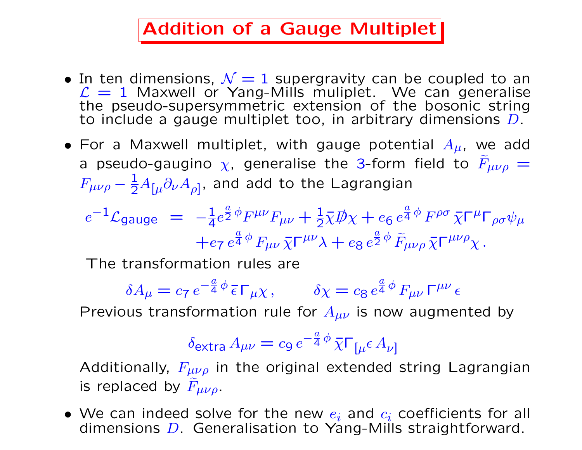### Addition of a Gauge Multiplet

- In ten dimensions,  $\mathcal{N} = 1$  supergravity can be coupled to an  $\mathcal{L} = 1$  Maxwell or Yang-Mills muliplet. We can generalise the pseudo-supersymmetric extension of the bosonic string to include a gauge multiplet too, in arbitrary dimensions D.
- For a Maxwell multiplet, with gauge potential  $A_{\mu}$ , we add a pseudo-gaugino  $\chi$ , generalise the 3-form field to  $F_{\mu\nu\rho} =$  $F_{\mu\nu\rho} - \frac{1}{2} A_{[\mu} \partial_{\nu} A_{\rho]}$ , and add to the Lagrangian

$$
e^{-1}\mathcal{L}_{\text{gauge}} = -\frac{1}{4}e^{\frac{a}{2}\phi}F^{\mu\nu}F_{\mu\nu} + \frac{1}{2}\bar{\chi}\mathcal{D}\chi + e_6 e^{\frac{a}{4}\phi}F^{\rho\sigma}\bar{\chi}\Gamma^{\mu}\Gamma_{\rho\sigma}\psi_{\mu} + e_7 e^{\frac{a}{4}\phi}F_{\mu\nu}\bar{\chi}\Gamma^{\mu\nu}\lambda + e_8 e^{\frac{a}{2}\phi}\tilde{F}_{\mu\nu\rho}\bar{\chi}\Gamma^{\mu\nu\rho}\chi.
$$

The transformation rules are

$$
\delta A_{\mu} = c_7 e^{-\frac{a}{4}\phi} \bar{\epsilon} \Gamma_{\mu} \chi, \qquad \delta \chi = c_8 e^{\frac{a}{4}\phi} F_{\mu\nu} \Gamma^{\mu\nu} \epsilon
$$

Previous transformation rule for  $A_{\mu\nu}$  is now augmented by

$$
\delta_{\text{extra}} A_{\mu\nu} = c_9 e^{-\frac{a}{4}\phi} \bar{\chi} \Gamma_{\mu} \epsilon A_{\nu}
$$

Additionally,  $F_{\mu\nu\rho}$  in the original extended string Lagrangian is replaced by  $F_{\mu\nu\rho}$ .

• We can indeed solve for the new  $e_i$  and  $c_i$  coefficients for all dimensions  $D$ . Generalisation to Yang-Mills straightforward.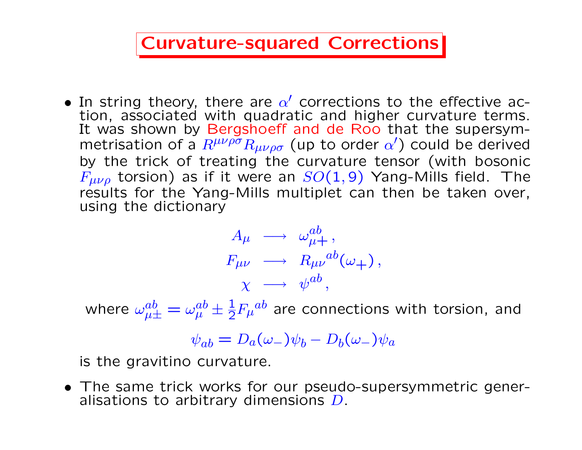### Curvature-squared Corrections

• In string theory, there are  $\alpha'$  corrections to the effective action, associated with quadratic and higher curvature terms. It was shown by Bergshoeff and de Roo that the supersymmetrisation of a  $R^{\mu\nu\rho\sigma}R_{\mu\nu\rho\sigma}$  (up to order  $\alpha'$ ) could be derived by the trick of treating the curvature tensor (with bosonic  $F_{\mu\nu\rho}$  torsion) as if it were an  $SO(1,9)$  Yang-Mills field. The results for the Yang-Mills multiplet can then be taken over, using the dictionary

$$
A_{\mu} \longrightarrow \omega_{\mu+}^{ab},
$$
  
\n
$$
F_{\mu\nu} \longrightarrow R_{\mu\nu}^{ab}(\omega_{+}),
$$
  
\n
$$
\chi \longrightarrow \psi^{ab},
$$

where  $\omega^{ab}_{\mu\pm}=\omega^{ab}_{\mu}\pm\frac{1}{2}F_{\mu}{}^{ab}$  are connections with torsion, and

$$
\psi_{ab} = D_a(\omega_-)\psi_b - D_b(\omega_-)\psi_a
$$

is the gravitino curvature.

• The same trick works for our pseudo-supersymmetric generalisations to arbitrary dimensions  $D$ .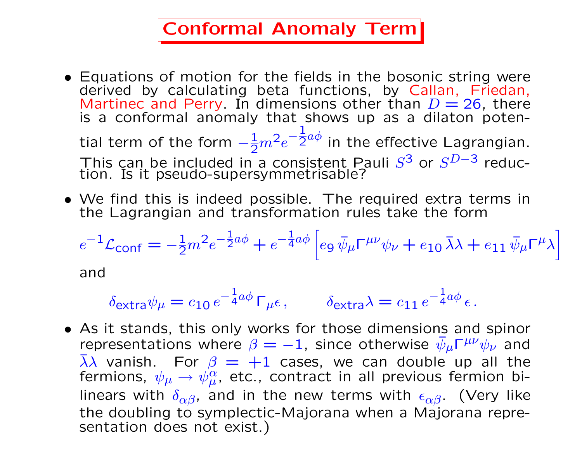### Conformal Anomaly Term

- Equations of motion for the fields in the bosonic string were derived by calculating beta functions, by Callan, Friedan, Martinec and Perry. In dimensions other than  $D = 26$ , there is a conformal anomaly that shows up as a dilaton potential term of the form  $-\frac{1}{2}m^2e^-$ 1  $\frac{1}{2}a\phi$  in the effective Lagrangian. This can be included in a consistent Pauli  $S^3$  or  $S^{D-3}$  reduction. Is it pseudo-supersymmetrisable?
- We find this is indeed possible. The required extra terms in the Lagrangian and transformation rules take the form

$$
e^{-1}\mathcal{L}_{\text{conf}} = -\frac{1}{2}m^2e^{-\frac{1}{2}a\phi} + e^{-\frac{1}{4}a\phi} \left[ e_9 \bar{\psi}_{\mu} \Gamma^{\mu\nu} \psi_{\nu} + e_{10} \bar{\lambda}\lambda + e_{11} \bar{\psi}_{\mu} \Gamma^{\mu} \lambda \right]
$$

and

$$
\delta_{\text{extra}} \psi_{\mu} = c_{10} e^{-\frac{1}{4} a \phi} \Gamma_{\mu} \epsilon, \qquad \delta_{\text{extra}} \lambda = c_{11} e^{-\frac{1}{4} a \phi} \epsilon.
$$

• As it stands, this only works for those dimensions and spinor representations where  $\beta = -1$ , since otherwise  $\bar{\psi}_{\mu} \Gamma^{\mu\nu} \psi_{\nu}$  and  $\overline{\lambda}\lambda$  vanish. For  $\beta = +1$  cases, we can double up all the fermions,  $\psi_{\mu} \rightarrow \psi_{\mu}^{\alpha}$ , etc., contract in all previous fermion bilinears with  $\delta_{\alpha\beta}$ , and in the new terms with  $\epsilon_{\alpha\beta}$ . (Very like the doubling to symplectic-Majorana when a Majorana representation does not exist.)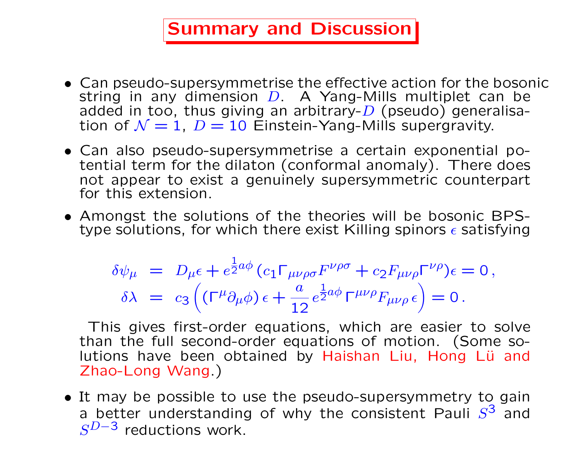### Summary and Discussion

- Can pseudo-supersymmetrise the effective action for the bosonic string in any dimension  $D$ . A Yang-Mills multiplet can be added in too, thus giving an arbitrary- $D$  (pseudo) generalisation of  $\mathcal{N} = 1$ ,  $D = 10$  Einstein-Yang-Mills supergravity.
- Can also pseudo-supersymmetrise a certain exponential potential term for the dilaton (conformal anomaly). There does not appear to exist a genuinely supersymmetric counterpart for this extension.
- Amongst the solutions of the theories will be bosonic BPStype solutions, for which there exist Killing spinors  $\epsilon$  satisfying

$$
\delta\psi_{\mu} = D_{\mu}\epsilon + e^{\frac{1}{2}a\phi} (c_1 \Gamma_{\mu\nu\rho\sigma} F^{\nu\rho\sigma} + c_2 F_{\mu\nu\rho} \Gamma^{\nu\rho}) \epsilon = 0, \delta\lambda = c_3 \left( (\Gamma^{\mu}\partial_{\mu}\phi) \epsilon + \frac{a}{12} e^{\frac{1}{2}a\phi} \Gamma^{\mu\nu\rho} F_{\mu\nu\rho} \epsilon \right) = 0.
$$

This gives first-order equations, which are easier to solve than the full second-order equations of motion. (Some solutions have been obtained by Haishan Liu, Hong Lü and Zhao-Long Wang.)

• It may be possible to use the pseudo-supersymmetry to gain a better understanding of why the consistent Pauli  $S^3$  and  $S^{D-3}$  reductions work.